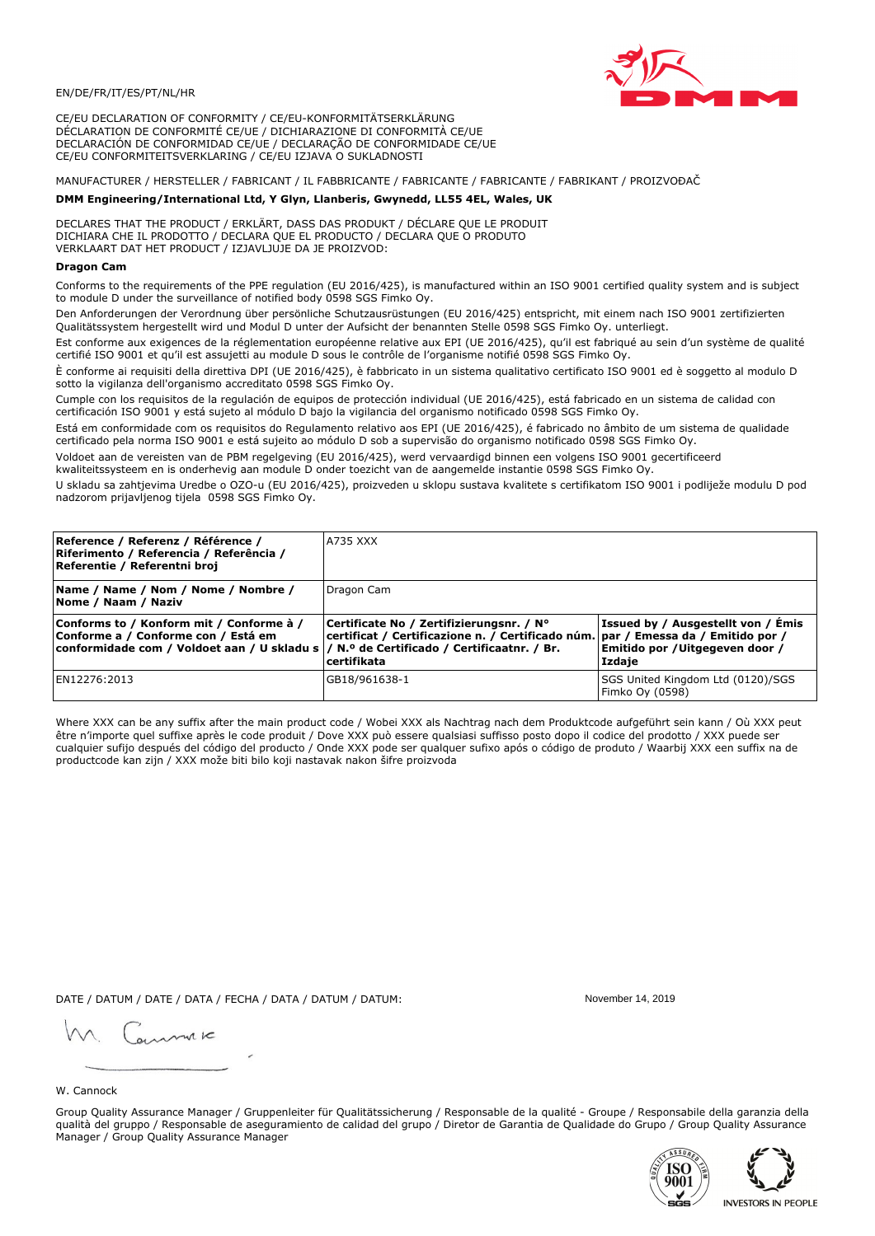

CE/EU DECLARATION OF CONFORMITY / CE/EU-KONFORMITÄTSERKLÄRUNG DÉCLARATION DE CONFORMITÉ CE/UE / DICHIARAZIONE DI CONFORMITÀ CE/UE DECLARACIÓN DE CONFORMIDAD CE/UE / DECLARAÇÃO DE CONFORMIDADE CE/UE CE/EU CONFORMITEITSVERKLARING / CE/EU IZJAVA O SUKLADNOSTI

# MANUFACTURER / HERSTELLER / FABRICANT / IL FABBRICANTE / FABRICANTE / FABRICANTE / FABRIKANT / PROIZVOĐAČ

# DMM Engineering/International Ltd, Y Glyn, Llanberis, Gwynedd, LL55 4EL, Wales, UK

DECLARES THAT THE PRODUCT / ERKLÄRT, DASS DAS PRODUKT / DÉCLARE QUE LE PRODUIT<br>DICHIARA CHE IL PRODOTTO / DECLARA QUE EL PRODUCTO / DECLARA QUE O PRODUTO VERKLAART DAT HET PRODUCT / IZJAVLJUJE DA JE PROIZVOD:

## **Dragon Cam**

Conforms to the requirements of the PPE regulation (EU 2016/425), is manufactured within an ISO 9001 certified quality system and is subject to module D under the surveillance of notified body 0598 SGS Fimko Oy.

Den Anforderungen der Verordnung über persönliche Schutzausrüstungen (EU 2016/425) entspricht, mit einem nach ISO 9001 zertifizierten Qualitätssystem hergestellt wird und Modul D unter der Aufsicht der benannten Stelle 0598 SGS Fimko Oy. unterliegt.

Est conforme aux exigences de la réglementation européenne relative aux EPI (UE 2016/425), qu'il est fabriqué au sein d'un système de qualité certifié ISO 9001 et qu'il est assujetti au module D sous le contrôle de l'organisme notifié 0598 SGS Fimko Oy.

È conforme ai requisiti della direttiva DPI (UE 2016/425), è fabbricato in un sistema qualitativo certificato ISO 9001 ed è soggetto al modulo D sotto la vigilanza dell'organismo accreditato 0598 SGS Fimko Oy.

Cumple con los requisitos de la regulación de equipos de protección individual (UE 2016/425), está fabricado en un sistema de calidad con certificación ISO 9001 y está sujeto al módulo D bajo la vigilancia del organismo notificado 0598 SGS Fimko Oy.

Está em conformidade com os requisitos do Regulamento relativo aos EPI (UE 2016/425), é fabricado no âmbito de um sistema de qualidade certificado pela norma ISO 9001 e está sujeito ao módulo D sob a supervisão do organismo notificado 0598 SGS Fimko Oy.

Voldoet aan de vereisten van de PBM regelgeving (EU 2016/425), werd vervaardigd binnen een volgens ISO 9001 gecertificeerd kwaliteitssysteem en is onderhevig aan module D onder toezicht van de aangemelde instantie 0598 SGS Fimko Oy.

U skladu sa zahtjevima Uredbe o OZO-u (EU 2016/425), proizveden u sklopu sustava kvalitete s certifikatom ISO 9001 i podliježe modulu D pod nadzorom prijavljenog tijela 0598 SGS Fimko Oy.

| Reference / Referenz / Référence /<br>Riferimento / Referencia / Referência /<br>Referentie / Referentni broj                                                              | A735 XXX                                                                                                                                         |                                                                                |
|----------------------------------------------------------------------------------------------------------------------------------------------------------------------------|--------------------------------------------------------------------------------------------------------------------------------------------------|--------------------------------------------------------------------------------|
| Name / Name / Nom / Nome / Nombre /<br> Nome / Naam / Naziv                                                                                                                | Dragon Cam                                                                                                                                       |                                                                                |
| Conforms to / Konform mit / Conforme à /<br>Conforme a / Conforme con / Está em<br>conformidade com / Voldoet aan / U skladu s / N.º de Certificado / Certificaatnr. / Br. | Certificate No / Zertifizierungsnr. / N°<br>  certificat / Certificazione n. / Certificado núm.   par / Emessa da / Emitido por /<br>certifikata | Issued by / Ausgestellt von / Emis<br>Emitido por /Uitgegeven door /<br>Izdaie |
| EN12276:2013                                                                                                                                                               | GB18/961638-1                                                                                                                                    | SGS United Kingdom Ltd (0120)/SGS<br>Fimko Oy (0598)                           |

Where XXX can be any suffix after the main product code / Wobei XXX als Nachtrag nach dem Produktcode aufgeführt sein kann / Où XXX peut être n'importe quel suffixe après le code produit / Dove XXX può essere qualsiasi suffisso posto dopo il codice del prodotto / XXX puede ser cualquier sufijo después del código del producto / Onde XXX pode ser qualquer sufixo após o código de produto / Waarbij XXX een suffix na de productcode kan zijn / XXX može biti bilo koji nastavak nakon šifre proizvoda

DATE / DATUM / DATE / DATA / FECHA / DATA / DATUM / DATUM:

gimmic

November 14 2019



Group Quality Assurance Manager / Gruppenleiter für Qualitätssicherung / Responsable de la qualité - Groupe / Responsabile della garanzia della qualità del gruppo / Responsable de aseguramiento de calidad del grupo / Diretor de Garantia de Qualidade do Grupo / Group Quality Assurance Manager / Group Quality Assurance Manager



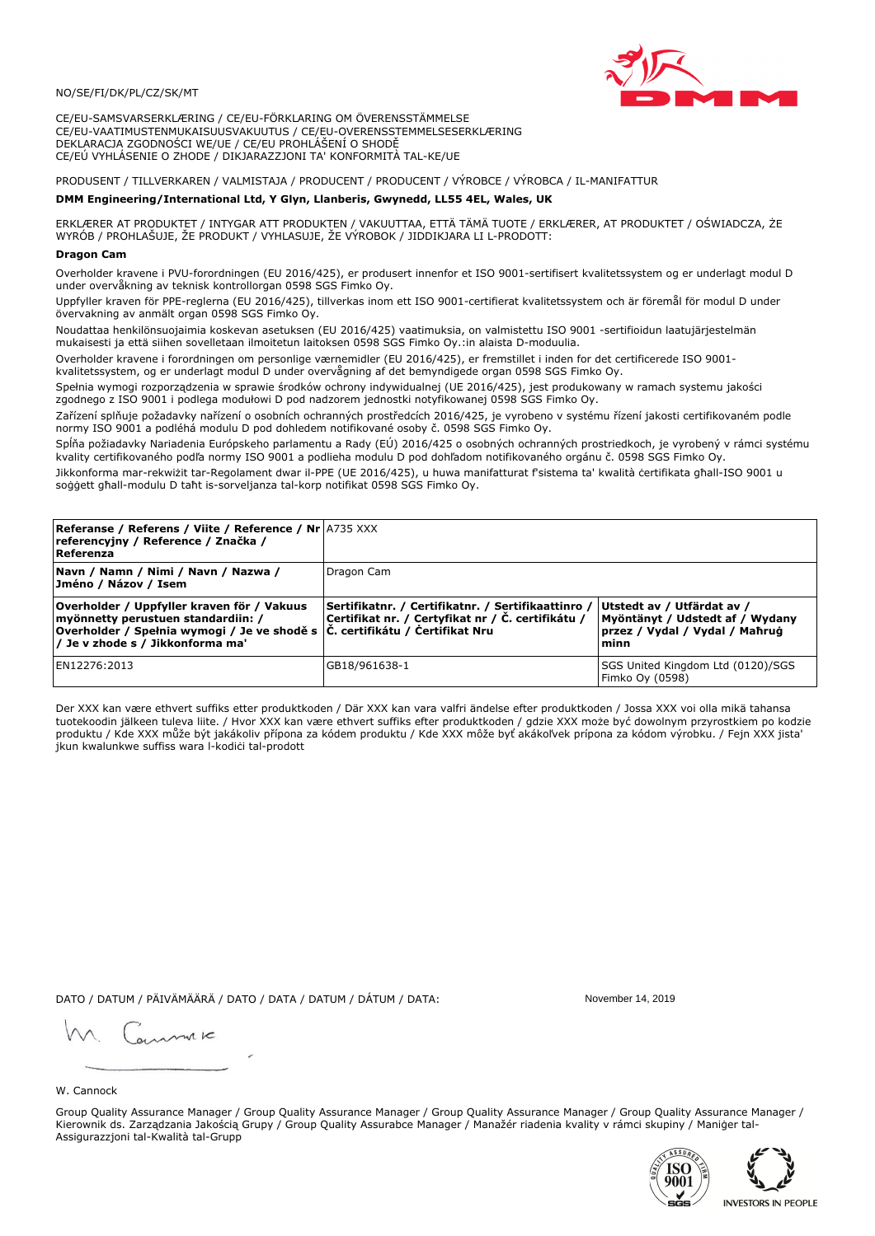# NO/SE/FI/DK/PL/CZ/SK/MT

CE/EU-SAMSVARSERKLÆRING / CE/EU-FÖRKLARING OM ÖVERENSSTÄMMELSE CE/EU-VAATIMUSTENMUKAISUUSVAKUUTUS / CE/EU-OVERENSSTEMMELSESERKLÆRING DEKLARACJA ZGODNOŚCI WE/UE / CE/EU PROHLÁŠENÍ O SHODĚ CE/EÚ VYHLÁSENIE O ZHODE / DIKJARAZZJONI TA' KONFORMITÀ TAL-KE/UE

# PRODUSENT / TILLVERKAREN / VALMISTAJA / PRODUCENT / PRODUCENT / VÝROBCE / VÝROBCA / IL-MANIFATTUR

### DMM Engineering/International Ltd, Y Glyn, Llanberis, Gwynedd, LL55 4EL, Wales, UK

ERKLÆRER AT PRODUKTET / INTYGAR ATT PRODUKTEN / VAKUUTTAA, ETTÄ TÄMÄ TUOTE / ERKLÆRER, AT PRODUKTET / OŚWIADCZA, ŻE<br>WYRÓB / PROHLAŠUJE, ŽE PRODUKT / VYHLASUJE, ŽE VÝROBOK / JIDDIKJARA LI L-PRODOTT:

# **Dragon Can**

Overholder kravene i PVU-forordningen (EU 2016/425), er produsert innenfor et ISO 9001-sertifisert kvalitetssystem og er underlagt modul D under overvåkning av teknisk kontrollorgan 0598 SGS Fimko Oy.

Uppfyller kraven för PPE-reglerna (EU 2016/425), tillverkas inom ett ISO 9001-certifierat kvalitetssystem och är föremål för modul D under övervakning av anmält organ 0598 SGS Fimko Oy.

Noudattaa henkilönsuojaimia koskevan asetuksen (EU 2016/425) vaatimuksia, on valmistettu ISO 9001 -sertifioidun laatujärjestelmän mukaisesti ja että siihen sovelletaan ilmoitetun laitoksen 0598 SGS Fimko Oy.:in alaista D-moduulia.

Overholder kravene i forordningen om personlige værnemidler (EU 2016/425), er fremstillet i inden for det certificerede ISO 9001kvalitetssystem, og er underlagt modul D under overvågning af det bemyndigede organ 0598 SGS Fimko Oy.

Spełnia wymogi rozporządzenia w sprawie środków ochrony indywidualnej (UE 2016/425), jest produkowany w ramach systemu jakości zgodnego z ISO 9001 i podlega modułowi D pod nadzorem jednostki notyfikowanej 0598 SGS Fimko Oy.

Zařízení splňuje požadavky nařízení o osobních ochranných prostředcích 2016/425, je vyrobeno v systému řízení jakosti certifikovaném podle normy ISO 9001 a podléhá modulu D pod dohledem notifikované osoby č. 0598 SGS Fimko Oy.

Spĺňa požiadavky Nariadenia Európskeho parlamentu a Rady (EÚ) 2016/425 o osobných ochranných prostriedkoch, je vyrobený v rámci systému kvality certifikovaného podľa normy ISO 9001 a podlieha modulu D pod dohľadom notifikovaného orgánu č. 0598 SGS Fimko Oy.

Jikkonforma mar-rekwiżit tar-Regolament dwar il-PPE (UE 2016/425), u huwa manifatturat f'sistema ta' kwalità certifikata għall-ISO 9001 u soggett għall-modulu D taħt is-sorveljanza tal-korp notifikat 0598 SGS Fimko Oy.

| <b>Referanse / Referens / Viite / Reference / Nr</b> A735 XXX<br>referencyjny / Reference / Značka /<br>Referenza                                                                                                 |                                                                                                         |                                                                                                         |
|-------------------------------------------------------------------------------------------------------------------------------------------------------------------------------------------------------------------|---------------------------------------------------------------------------------------------------------|---------------------------------------------------------------------------------------------------------|
| Navn / Namn / Nimi / Navn / Nazwa /<br> Jméno / Názov / Isem                                                                                                                                                      | Dragon Cam                                                                                              |                                                                                                         |
| Overholder / Uppfyller kraven för / Vakuus<br>myönnetty perustuen standardiin: /<br> Overholder / Spełnia wymogi / Je ve shodě s $ \tilde{C} $ . certifikátu / Čertifikat Nru<br>/ Je v zhode s / Jikkonforma ma' | Sertifikatnr. / Certifikatnr. / Sertifikaattinro /<br>Certifikat nr. / Certyfikat nr / Č. certifikátu / | Utstedt av / Utfärdat av /<br>Myöntänyt / Udstedt af / Wydany<br>przez / Vydal / Vydal / Mahrug<br>minn |
| EN12276:2013                                                                                                                                                                                                      | GB18/961638-1                                                                                           | SGS United Kingdom Ltd (0120)/SGS<br>Fimko Oy (0598)                                                    |

Der XXX kan være ethvert suffiks etter produktkoden / Där XXX kan vara valfri ändelse efter produktkoden / Jossa XXX voi olla mikä tahansa tuotekoodin jälkeen tuleva liite. / Hvor XXX kan være ethvert suffiks efter produktkoden / gdzie XXX może być dowolnym przyrostkiem po kodzie produktu / Kde XXX může být jakákoliv přípona za kódem produktu / Kde XXX môže byť akákolyek prípona za kódom výrobku. / Fejn XXX jista ikun kwalunkwe suffiss wara l-kodići tal-prodott

DATO / DATUM / PÄIVÄMÄÄRÄ / DATO / DATA / DATUM / DÁTUM / DATA:

November 14, 2019

annuic

W. Cannock

Group Quality Assurance Manager / Group Quality Assurance Manager / Group Quality Assurance Manager / Group Quality Assurance Manager / Kierownik ds. Zarządzania Jakością Grupy / Group Quality Assurabce Manager / Manažér riadenia kvality v rámci skupiny / Maniger tal-Assigurazzjoni tal-Kwalità tal-Grupp